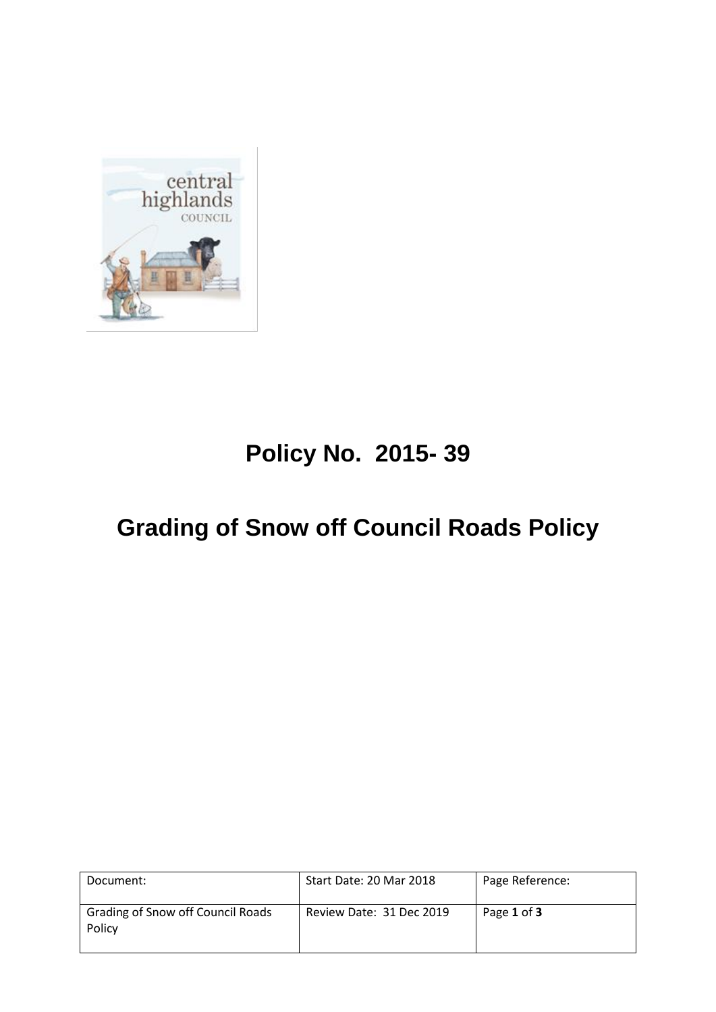

# **Policy No. 2015- 39**

# **Grading of Snow off Council Roads Policy**

| Document:                                   | Start Date: 20 Mar 2018  | Page Reference: |
|---------------------------------------------|--------------------------|-----------------|
| Grading of Snow off Council Roads<br>Policy | Review Date: 31 Dec 2019 | Page 1 of 3     |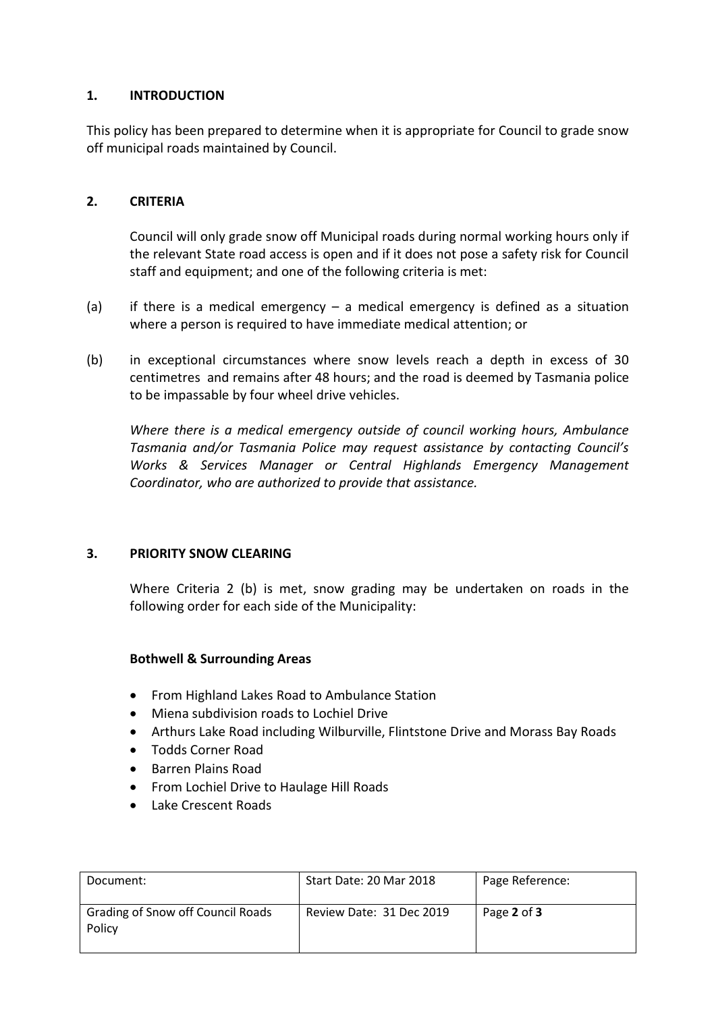## **1. INTRODUCTION**

This policy has been prepared to determine when it is appropriate for Council to grade snow off municipal roads maintained by Council.

#### **2. CRITERIA**

Council will only grade snow off Municipal roads during normal working hours only if the relevant State road access is open and if it does not pose a safety risk for Council staff and equipment; and one of the following criteria is met:

- (a) if there is a medical emergency a medical emergency is defined as a situation where a person is required to have immediate medical attention; or
- (b) in exceptional circumstances where snow levels reach a depth in excess of 30 centimetres and remains after 48 hours; and the road is deemed by Tasmania police to be impassable by four wheel drive vehicles.

*Where there is a medical emergency outside of council working hours, Ambulance Tasmania and/or Tasmania Police may request assistance by contacting Council's Works & Services Manager or Central Highlands Emergency Management Coordinator, who are authorized to provide that assistance.*

#### **3. PRIORITY SNOW CLEARING**

Where Criteria 2 (b) is met, snow grading may be undertaken on roads in the following order for each side of the Municipality:

#### **Bothwell & Surrounding Areas**

- From Highland Lakes Road to Ambulance Station
- Miena subdivision roads to Lochiel Drive
- Arthurs Lake Road including Wilburville, Flintstone Drive and Morass Bay Roads
- Todds Corner Road
- **•** Barren Plains Road
- From Lochiel Drive to Haulage Hill Roads
- Lake Crescent Roads

| Document:                                   | Start Date: 20 Mar 2018  | Page Reference: |
|---------------------------------------------|--------------------------|-----------------|
| Grading of Snow off Council Roads<br>Policy | Review Date: 31 Dec 2019 | Page 2 of 3     |